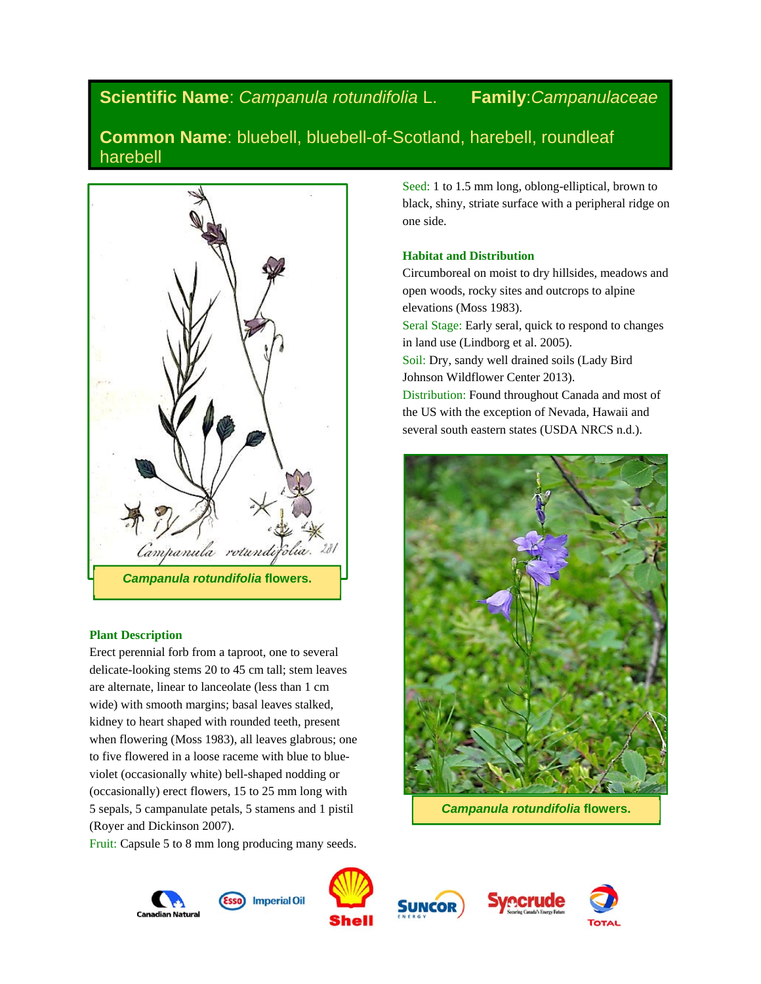# **Scientific Name**: *Campanula rotundifolia* L. **Family**:*Campanulaceae*

**Common Name**: bluebell, bluebell-of-Scotland, harebell, roundleaf harebell



## **Plant Description**

Erect perennial forb from a taproot, one to several delicate-looking stems 20 to 45 cm tall; stem leaves are alternate, linear to lanceolate (less than 1 cm wide) with smooth margins; basal leaves stalked, kidney to heart shaped with rounded teeth, present when flowering (Moss 1983), all leaves glabrous; one to five flowered in a loose raceme with blue to blueviolet (occasionally white) bell-shaped nodding or (occasionally) erect flowers, 15 to 25 mm long with 5 sepals, 5 campanulate petals, 5 stamens and 1 pistil (Royer and Dickinson 2007).

Fruit: Capsule 5 to 8 mm long producing many seeds.

Seed: 1 to 1.5 mm long, oblong-elliptical, brown to black, shiny, striate surface with a peripheral ridge on one side.

# **Habitat and Distribution**

Circumboreal on moist to dry hillsides, meadows and open woods, rocky sites and outcrops to alpine elevations (Moss 1983). Seral Stage: Early seral, quick to respond to changes in land use (Lindborg et al. 2005). Soil: Dry, sandy well drained soils (Lady Bird Johnson Wildflower Center 2013). Distribution: Found throughout Canada and most of the US with the exception of Nevada, Hawaii and several south eastern states (USDA NRCS n.d.).



*Campanula rotundifolia* **flowers.** 







![](_page_0_Picture_14.jpeg)

![](_page_0_Picture_15.jpeg)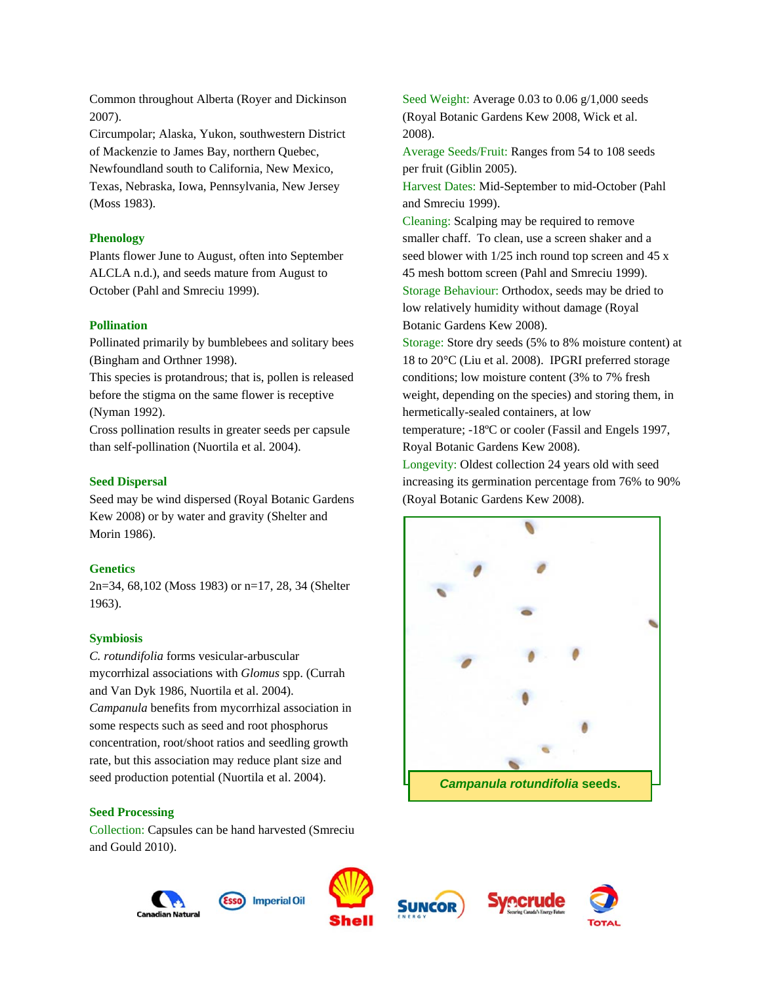Common throughout Alberta (Royer and Dickinson 2007).

Circumpolar; Alaska, Yukon, southwestern District of Mackenzie to James Bay, northern Quebec, Newfoundland south to California, New Mexico, Texas, Nebraska, Iowa, Pennsylvania, New Jersey (Moss 1983).

## **Phenology**

Plants flower June to August, often into September ALCLA n.d.), and seeds mature from August to October (Pahl and Smreciu 1999).

## **Pollination**

Pollinated primarily by bumblebees and solitary bees (Bingham and Orthner 1998).

This species is protandrous; that is, pollen is released before the stigma on the same flower is receptive (Nyman 1992).

Cross pollination results in greater seeds per capsule than self-pollination (Nuortila et al. 2004).

## **Seed Dispersal**

Seed may be wind dispersed (Royal Botanic Gardens Kew 2008) or by water and gravity (Shelter and Morin 1986).

## **Genetics**

2n=34, 68,102 (Moss 1983) or n=17, 28, 34 (Shelter 1963).

#### **Symbiosis**

*C. rotundifolia* forms vesicular-arbuscular mycorrhizal associations with *Glomus* spp. (Currah and Van Dyk 1986, Nuortila et al. 2004). *Campanula* benefits from mycorrhizal association in some respects such as seed and root phosphorus concentration, root/shoot ratios and seedling growth rate, but this association may reduce plant size and seed production potential (Nuortila et al. 2004).

## **Seed Processing**

Collection: Capsules can be hand harvested (Smreciu and Gould 2010).

**Imperial Oil** 

![](_page_1_Picture_17.jpeg)

![](_page_1_Picture_18.jpeg)

![](_page_1_Picture_19.jpeg)

Average Seeds/Fruit: Ranges from 54 to 108 seeds per fruit (Giblin 2005).

Harvest Dates: Mid-September to mid-October (Pahl and Smreciu 1999).

Cleaning: Scalping may be required to remove smaller chaff. To clean, use a screen shaker and a seed blower with 1/25 inch round top screen and 45 x 45 mesh bottom screen (Pahl and Smreciu 1999). Storage Behaviour: Orthodox, seeds may be dried to low relatively humidity without damage (Royal Botanic Gardens Kew 2008).

Storage: Store dry seeds (5% to 8% moisture content) at 18 to 20°C (Liu et al. 2008). IPGRI preferred storage conditions; low moisture content (3% to 7% fresh weight, depending on the species) and storing them, in hermetically-sealed containers, at low temperature; -18ºC or cooler (Fassil and Engels 1997, Royal Botanic Gardens Kew 2008).

Longevity: Oldest collection 24 years old with seed increasing its germination percentage from 76% to 90% (Royal Botanic Gardens Kew 2008).

![](_page_1_Picture_25.jpeg)

![](_page_1_Picture_26.jpeg)

![](_page_1_Picture_27.jpeg)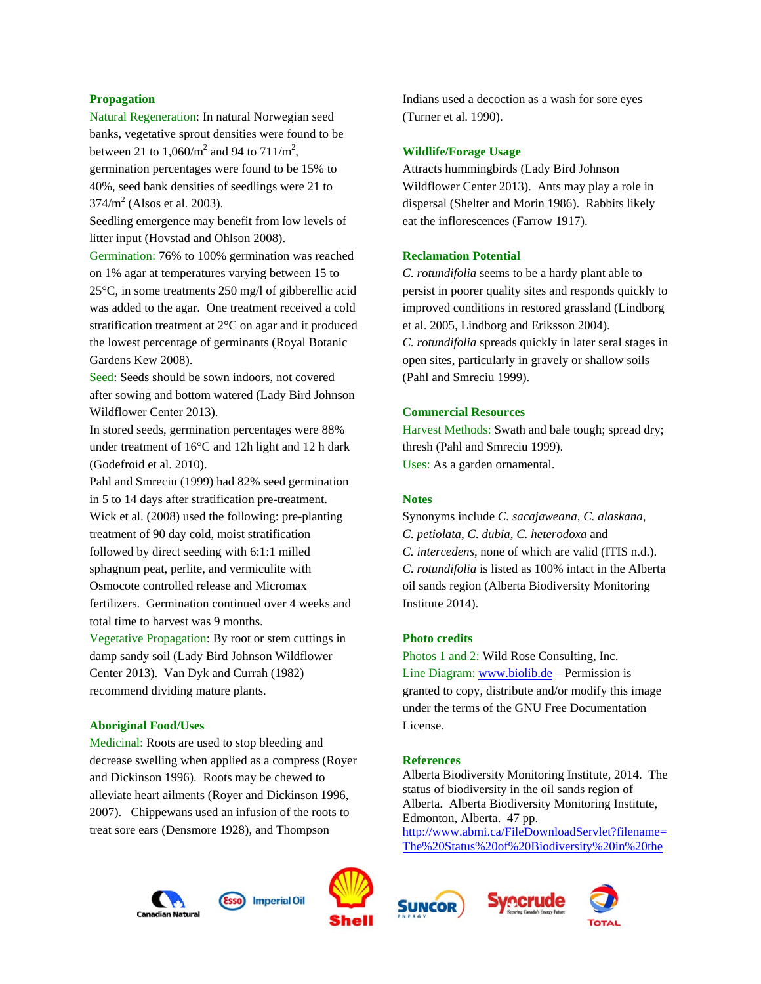## **Propagation**

Natural Regeneration: In natural Norwegian seed banks, vegetative sprout densities were found to be between 21 to  $1,060/m^2$  and 94 to  $711/m^2$ , germination percentages were found to be 15% to 40%, seed bank densities of seedlings were 21 to  $374/m^2$  (Alsos et al. 2003).

Seedling emergence may benefit from low levels of litter input (Hovstad and Ohlson 2008).

Germination: 76% to 100% germination was reached on 1% agar at temperatures varying between 15 to 25°C, in some treatments 250 mg/l of gibberellic acid was added to the agar. One treatment received a cold stratification treatment at 2°C on agar and it produced the lowest percentage of germinants (Royal Botanic Gardens Kew 2008).

Seed: Seeds should be sown indoors, not covered after sowing and bottom watered (Lady Bird Johnson Wildflower Center 2013).

In stored seeds, germination percentages were 88% under treatment of 16°C and 12h light and 12 h dark (Godefroid et al. 2010).

Pahl and Smreciu (1999) had 82% seed germination in 5 to 14 days after stratification pre-treatment. Wick et al. (2008) used the following: pre-planting treatment of 90 day cold, moist stratification followed by direct seeding with 6:1:1 milled sphagnum peat, perlite, and vermiculite with Osmocote controlled release and Micromax fertilizers. Germination continued over 4 weeks and total time to harvest was 9 months.

Vegetative Propagation: By root or stem cuttings in damp sandy soil (Lady Bird Johnson Wildflower Center 2013). Van Dyk and Currah (1982) recommend dividing mature plants.

#### **Aboriginal Food/Uses**

Medicinal: Roots are used to stop bleeding and decrease swelling when applied as a compress (Royer and Dickinson 1996). Roots may be chewed to alleviate heart ailments (Royer and Dickinson 1996, 2007). Chippewans used an infusion of the roots to treat sore ears (Densmore 1928), and Thompson

![](_page_2_Picture_10.jpeg)

#### **Wildlife/Forage Usage**

Attracts hummingbirds (Lady Bird Johnson Wildflower Center 2013). Ants may play a role in dispersal (Shelter and Morin 1986). Rabbits likely eat the inflorescences (Farrow 1917).

#### **Reclamation Potential**

*C. rotundifolia* seems to be a hardy plant able to persist in poorer quality sites and responds quickly to improved conditions in restored grassland (Lindborg et al. 2005, Lindborg and Eriksson 2004). *C. rotundifolia* spreads quickly in later seral stages in open sites, particularly in gravely or shallow soils (Pahl and Smreciu 1999).

## **Commercial Resources**

Harvest Methods: Swath and bale tough; spread dry; thresh (Pahl and Smreciu 1999). Uses: As a garden ornamental.

## **Notes**

Synonyms include *C. sacajaweana*, *C. alaskana*, *C. petiolata*, *C. dubia*, *C. heterodoxa* and *C. intercedens*, none of which are valid (ITIS n.d.). *C. rotundifolia* is listed as 100% intact in the Alberta oil sands region (Alberta Biodiversity Monitoring Institute 2014).

### **Photo credits**

Photos 1 and 2: Wild Rose Consulting, Inc. Line Diagram: www.biolib.de – Permission is granted to copy, distribute and/or modify this image under the terms of the GNU Free Documentation License.

#### **References**

Alberta Biodiversity Monitoring Institute, 2014. The status of biodiversity in the oil sands region of Alberta. Alberta Biodiversity Monitoring Institute, Edmonton, Alberta. 47 pp. http://www.abmi.ca/FileDownloadServlet?filename=

The%20Status%20of%20Biodiversity%20in%20the

![](_page_2_Picture_24.jpeg)

![](_page_2_Picture_25.jpeg)

![](_page_2_Picture_26.jpeg)

![](_page_2_Picture_27.jpeg)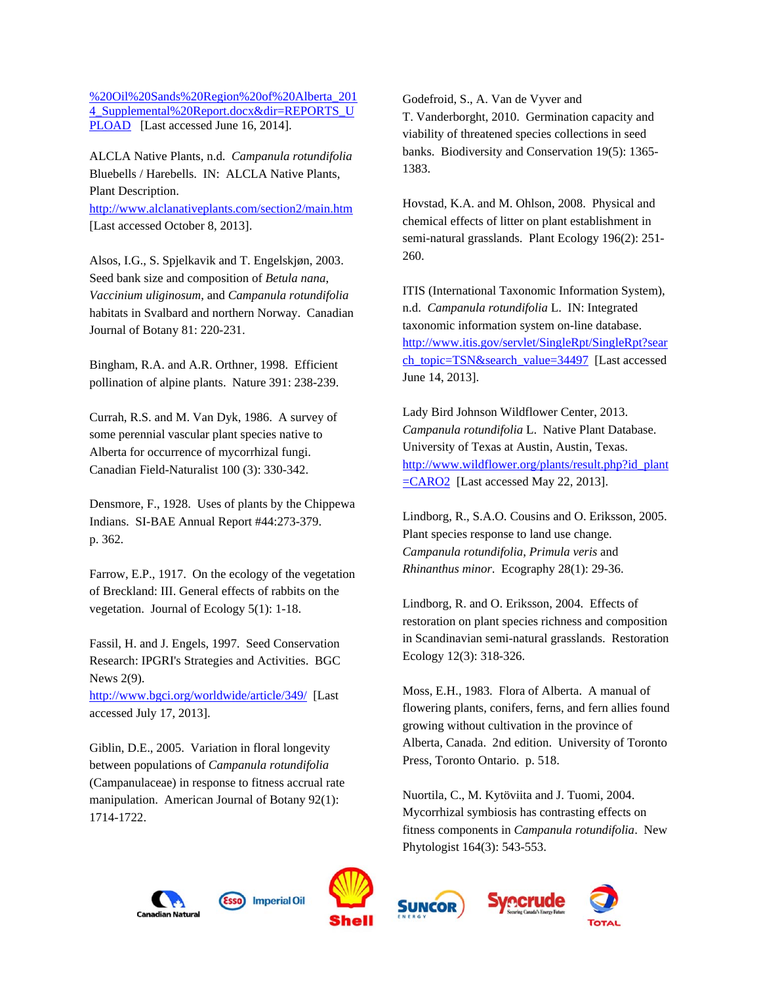%20Oil%20Sands%20Region%20of%20Alberta\_201 4 Supplemental%20Report.docx&dir=REPORTS\_U PLOAD [Last accessed June 16, 2014].

ALCLA Native Plants, n.d. *Campanula rotundifolia* Bluebells / Harebells. IN: ALCLA Native Plants, Plant Description. http://www.alclanativeplants.com/section2/main.htm [Last accessed October 8, 2013].

Alsos, I.G., S. Spjelkavik and T. Engelskjøn, 2003. Seed bank size and composition of *Betula nana*, *Vaccinium uliginosum*, and *Campanula rotundifolia* habitats in Svalbard and northern Norway. Canadian Journal of Botany 81: 220-231.

Bingham, R.A. and A.R. Orthner, 1998. Efficient pollination of alpine plants. Nature 391: 238-239.

Currah, R.S. and M. Van Dyk, 1986. A survey of some perennial vascular plant species native to Alberta for occurrence of mycorrhizal fungi. Canadian Field-Naturalist 100 (3): 330-342.

Densmore, F., 1928. Uses of plants by the Chippewa Indians. SI-BAE Annual Report #44:273-379. p. 362.

Farrow, E.P., 1917. On the ecology of the vegetation of Breckland: III. General effects of rabbits on the vegetation. Journal of Ecology 5(1): 1-18.

Fassil, H. and J. Engels, 1997. Seed Conservation Research: IPGRI's Strategies and Activities. BGC News 2(9).

http://www.bgci.org/worldwide/article/349/ [Last accessed July 17, 2013].

Giblin, D.E., 2005. Variation in floral longevity between populations of *Campanula rotundifolia* (Campanulaceae) in response to fitness accrual rate manipulation. American Journal of Botany 92(1): 1714-1722.

Godefroid, S., A. Van de Vyver and T. Vanderborght, 2010. Germination capacity and viability of threatened species collections in seed banks. Biodiversity and Conservation 19(5): 1365- 1383.

Hovstad, K.A. and M. Ohlson, 2008. Physical and chemical effects of litter on plant establishment in semi-natural grasslands. Plant Ecology 196(2): 251- 260.

ITIS (International Taxonomic Information System), n.d. *Campanula rotundifolia* L. IN: Integrated taxonomic information system on-line database. http://www.itis.gov/servlet/SingleRpt/SingleRpt?sear ch\_topic=TSN&search\_value=34497 [Last accessed June 14, 2013].

Lady Bird Johnson Wildflower Center, 2013. *Campanula rotundifolia* L. Native Plant Database. University of Texas at Austin, Austin, Texas. http://www.wildflower.org/plants/result.php?id\_plant =CARO2 [Last accessed May 22, 2013].

Lindborg, R., S.A.O. Cousins and O. Eriksson, 2005. Plant species response to land use change. *Campanula rotundifolia*, *Primula veris* and *Rhinanthus minor*. Ecography 28(1): 29-36.

Lindborg, R. and O. Eriksson, 2004. Effects of restoration on plant species richness and composition in Scandinavian semi-natural grasslands. Restoration Ecology 12(3): 318-326.

Moss, E.H., 1983. Flora of Alberta. A manual of flowering plants, conifers, ferns, and fern allies found growing without cultivation in the province of Alberta, Canada. 2nd edition. University of Toronto Press, Toronto Ontario. p. 518.

Nuortila, C., M. Kytöviita and J. Tuomi, 2004. Mycorrhizal symbiosis has contrasting effects on fitness components in *Campanula rotundifolia*. New Phytologist 164(3): 543-553.

![](_page_3_Picture_18.jpeg)

![](_page_3_Picture_19.jpeg)

**Imperial Oil** 

![](_page_3_Picture_20.jpeg)

![](_page_3_Picture_21.jpeg)